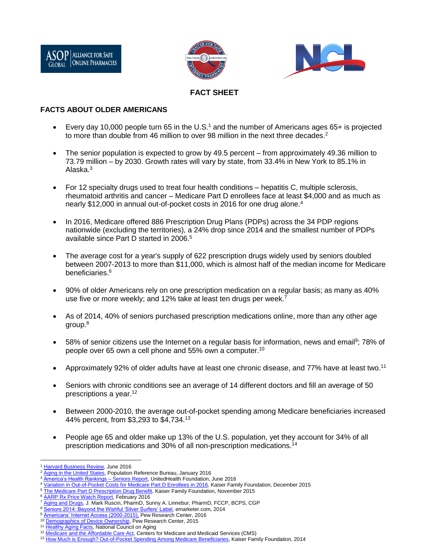





# **FACT SHEET**

### **FACTS ABOUT OLDER AMERICANS**

- Every day 10,000 people turn 65 in the U.S.<sup>1</sup> and the number of Americans ages 65+ is projected to more than double from 46 million to over 98 million in the next three decades.<sup>2</sup>
- The senior population is expected to grow by 49.5 percent from approximately 49.36 million to 73.79 million – by 2030. Growth rates will vary by state, from 33.4% in New York to 85.1% in Alaska.<sup>3</sup>
- For 12 specialty drugs used to treat four health conditions hepatitis C, multiple sclerosis, rheumatoid arthritis and cancer – Medicare Part D enrollees face at least \$4,000 and as much as nearly \$12,000 in annual out-of-pocket costs in 2016 for one drug alone.<sup>4</sup>
- In 2016, Medicare offered 886 Prescription Drug Plans (PDPs) across the 34 PDP regions nationwide (excluding the territories), a 24% drop since 2014 and the smallest number of PDPs available since Part D started in 2006.<sup>5</sup>
- The average cost for a year's supply of 622 prescription drugs widely used by seniors doubled between 2007-2013 to more than \$11,000, which is almost half of the median income for Medicare beneficiaries.<sup>6</sup>
- 90% of older Americans rely on one prescription medication on a regular basis; as many as 40% use five or more weekly; and 12% take at least ten drugs per week.<sup>7</sup>
- As of 2014, 40% of seniors purchased prescription medications online, more than any other age group.<sup>8</sup>
- 58% of senior citizens use the Internet on a regular basis for information, news and email<sup>9</sup>; 78% of people over 65 own a cell phone and 55% own a computer.<sup>10</sup>
- Approximately 92% of older adults have at least one chronic disease, and 77% have at least two.<sup>11</sup>
- Seniors with chronic conditions see an average of 14 different doctors and fill an average of 50 prescriptions a year.<sup>12</sup>
- Between 2000-2010, the average out-of-pocket spending among Medicare beneficiaries increased 44% percent, from \$3,293 to \$4,734.<sup>13</sup>
- People age 65 and older make up 13% of the U.S. population, yet they account for 34% of all prescription medications and 30% of all non-prescription medications.<sup>14</sup>

 $\overline{a}$ **[Harvard Business Review,](https://hbr.org/2016/06/next-gen-retirement) June 2016** 

[Aging in the United States,](http://www.prb.org/Publications/Media-Guides/2016/aging-unitedstates-fact-sheet.aspx) Population Reference Bureau, January 2016

America's Health Rankings - Seniors Report, UnitedHealth Foundation, June 2016

<sup>4</sup> [Variation in Out-of-Pocket Costs for Medicare Part D Enrollees in 2016,](http://kff.org/report-section/it-pays-to-shop-variation-in-out-of-pocket-costs-for-medicare-part-d-enrollees-in-2016-findings/) Kaiser Family Foundation, December 2015

[The Medicare Part D Prescription Drug Benefit,](http://kff.org/medicare/fact-sheet/the-medicare-prescription-drug-benefit-fact-sheet/) Kaiser Family Foundation, November 2015

<sup>6</sup> [AARP Rx Price Watch Report,](http://www.aarp.org/health/drugs-supplements/info-08-2010/rx_price_watch.html) February 2016

[Aging and Drugs,](http://www.merckmanuals.com/home/older-people%E2%80%99s-health-issues/aging-and-drugs/aging-and-drugs) J. Mark Ruscin, PharmD, Sunny A. Linnebur, PharmD, FCCP, BCPS, CGP

<sup>8</sup> [Seniors 2014: Beyond the Wishful 'Silver Surfers' Label,](http://www.emarketer.com/Article/Seniors-Kind-of-Digital-Shoppers-Kind-of-Not/1011111) emarketer.com, 2014

[Americans' Internet Access \(2000-2015\),](http://www.pewinternet.org/2015/06/26/americans-internet-access-2000-2015/) Pew Research Center, 2016

[Demographics of Device Ownership,](http://www.pewinternet.org/2015/10/29/the-demographics-of-device-ownership/) Pew Research Center, 2015

<sup>11</sup> [Healthy Aging Facts,](https://www.ncoa.org/news/resources-for-reporters/get-the-facts/healthy-aging-facts/) National Council on Aging

<sup>&</sup>lt;sup>12</sup> [Medicare and the Affordable Care Act,](https://www.cms.gov/Newsroom/MediaReleaseDatabase/Press-releases/2011-Press-releases-items/2011-06-20.html) Centers for Medicare and Medicaid Services (CMS)

<sup>13</sup> [How Much is Enough? Out-of-Pocket Spending Among Medicare Beneficiaries,](http://kff.org/medicare/report/how-much-is-enough-out-of-pocket-spending-among-medicare-beneficiaries-a-chartbook/) Kaiser Family Foundation, 2014